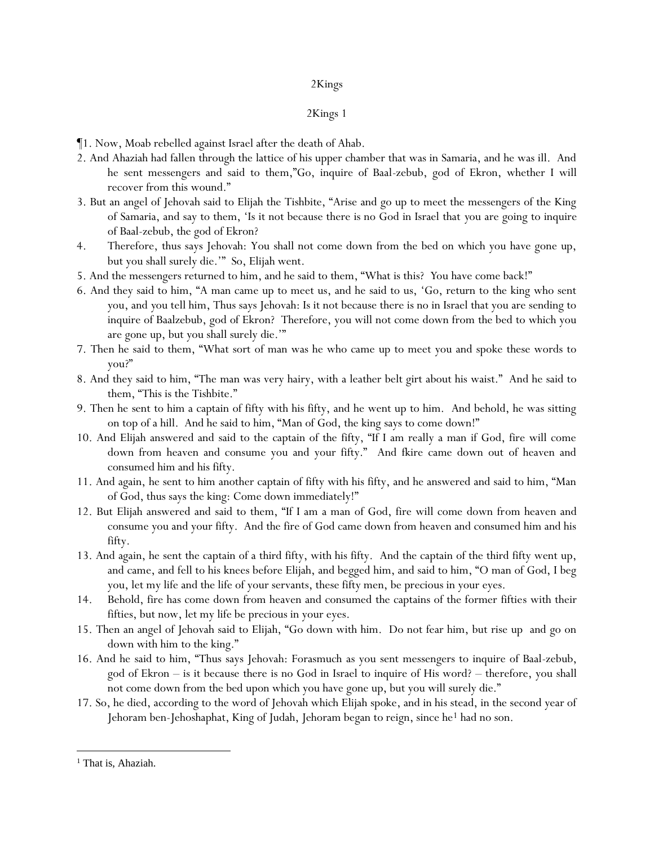- ¶1. Now, Moab rebelled against Israel after the death of Ahab.
- 2. And Ahaziah had fallen through the lattice of his upper chamber that was in Samaria, and he was ill. And he sent messengers and said to them,"Go, inquire of Baal-zebub, god of Ekron, whether I will recover from this wound."
- 3. But an angel of Jehovah said to Elijah the Tishbite, "Arise and go up to meet the messengers of the King of Samaria, and say to them, 'Is it not because there is no God in Israel that *y*ou are going to inquire of Baal-zebub, the god of Ekron?
- 4. Therefore, thus says Jehovah: You shall not come down from the bed on which you have gone up, but you shall surely die.'" So, Elijah went.
- 5. And the messengers returned to him, and he said to them, "What is this? *Y*ou have come back!"
- 6. And they said to him, "A man came up to meet us, and he said to us, 'Go, return to the king who sent *y*ou, and *y*ou tell him, Thus says Jehovah: Is it not because there is no in Israel that you are sending to inquire of Baalzebub, god of Ekron? Therefore, you will not come down from the bed to which you are gone up, but you shall surely die.'"
- 7. Then he said to them, "What sort of man was he who came up to meet you and spoke these words to you?"
- 8. And they said to him, "The man was very hairy, with a leather belt girt about his waist." And he said to them, "This is the Tishbite."
- 9. Then he sent to him a captain of fifty with his fifty, and he went up to him. And behold, he was sitting on top of a hill. And he said to him, "Man of God, the king says to come down!"
- 10. And Elijah answered and said to the captain of the fifty, "If I am really a man if God, fire will come down from heaven and consume you and your fifty." And fkire came down out of heaven and consumed him and his fifty.
- 11. And again, he sent to him another captain of fifty with his fifty, and he answered and said to him, "Man of God, thus says the king: Come down immediately!"
- 12. But Elijah answered and said to them, "If I am a man of God, fire will come down from heaven and consume you and your fifty. And the fire of God came down from heaven and consumed him and his fifty.
- 13. And again, he sent the captain of a third fifty, with his fifty. And the captain of the third fifty went up, and came, and fell to his knees before Elijah, and begged him, and said to him, "O man of God, I beg you, let my life and the life of your servants, these fifty men, be precious in your eyes.
- 14. Behold, fire has come down from heaven and consumed the captains of the former fifties with their fifties, but now, let my life be precious in your eyes.
- 15. Then an angel of Jehovah said to Elijah, "Go down with him. Do not fear him, but rise up and go on down with him to the king."
- 16. And he said to him, "Thus says Jehovah: Forasmuch as you sent messengers to inquire of Baal-zebub, god of Ekron – is it because there is no God in Israel to inquire of His word? – therefore, you shall not come down from the bed upon which you have gone up, but you will surely die."
- 17. So, he died, according to the word of Jehovah which Elijah spoke, and in his stead, in the second year of Jehoram ben-Jehoshaphat, King of Judah, Jehoram began to reign, since he<sup>1</sup> had no son.

<sup>&</sup>lt;sup>1</sup> That is, Ahaziah.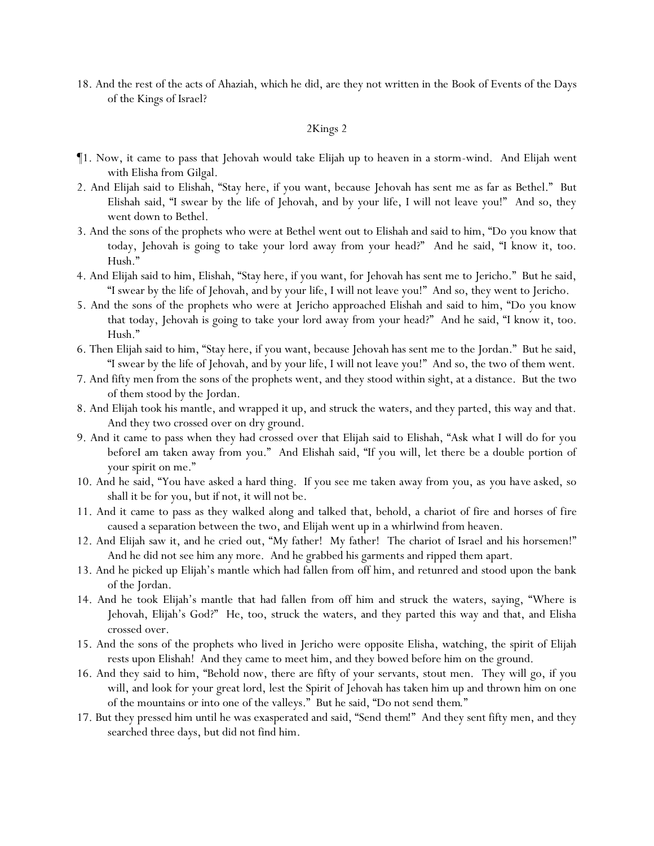18. And the rest of the acts of Ahaziah, which he did, are they not written in the Book of Events of the Days of the Kings of Israel?

- ¶1. Now, it came to pass that Jehovah would take Elijah up to heaven in a storm-wind. And Elijah went with Elisha from Gilgal.
- 2. And Elijah said to Elishah, "Stay here, if you want, because Jehovah has sent me as far as Bethel." But Elishah said, "I swear by the life of Jehovah, and by your life, I will not leave you!" And so, they went down to Bethel.
- 3. And the sons of the prophets who were at Bethel went out to Elishah and said to him, "Do you know that today, Jehovah is going to take your lord away from your head?" And he said, "I know it, too. Hush."
- 4. And Elijah said to him, Elishah, "Stay here, if you want, for Jehovah has sent me to Jericho." But he said, "I swear by the life of Jehovah, and by your life, I will not leave you!" And so, they went to Jericho.
- 5. And the sons of the prophets who were at Jericho approached Elishah and said to him, "Do you know that today, Jehovah is going to take your lord away from your head?" And he said, "I know it, too. Hush."
- 6. Then Elijah said to him, "Stay here, if you want, because Jehovah has sent me to the Jordan." But he said, "I swear by the life of Jehovah, and by your life, I will not leave you!" And so, the two of them went.
- 7. And fifty men from the sons of the prophets went, and they stood within sight, at a distance. But the two of them stood by the Jordan.
- 8. And Elijah took his mantle, and wrapped it up, and struck the waters, and they parted, this way and that. And they two crossed over on dry ground.
- 9. And it came to pass when they had crossed over that Elijah said to Elishah, "Ask what I will do for you beforeI am taken away from you." And Elishah said, "If you will, let there be a double portion of your spirit on me."
- 10. And he said, "You have asked a hard thing. If you see me taken away from you, as *you have asked*, so shall it be for you, but if not, it will not be.
- 11. And it came to pass as they walked along and talked that, behold, a chariot of fire and horses of fire caused a separation between the two, and Elijah went up in a whirlwind from heaven.
- 12. And Elijah saw it, and he cried out, "My father! My father! The chariot of Israel and his horsemen!" And he did not see him any more. And he grabbed his garments and ripped them apart.
- 13. And he picked up Elijah's mantle which had fallen from off him, and retunred and stood upon the bank of the Jordan.
- 14. And he took Elijah's mantle that had fallen from off him and struck the waters, saying, "Where is Jehovah, Elijah's God?" He, too, struck the waters, and they parted this way and that, and Elisha crossed over.
- 15. And the sons of the prophets who lived in Jericho were opposite Elisha, watching, the spirit of Elijah rests upon Elishah! And they came to meet him, and they bowed before him on the ground.
- 16. And they said to him, "Behold now, there are fifty of your servants, stout men. They will go, if you will, and look for your great lord, lest the Spirit of Jehovah has taken him up and thrown him on one of the mountains or into one of the valleys." But he said, "Do not send *them*."
- 17. But they pressed him until he was exasperated and said, "Send *them*!" And they sent fifty men, and they searched three days, but did not find him.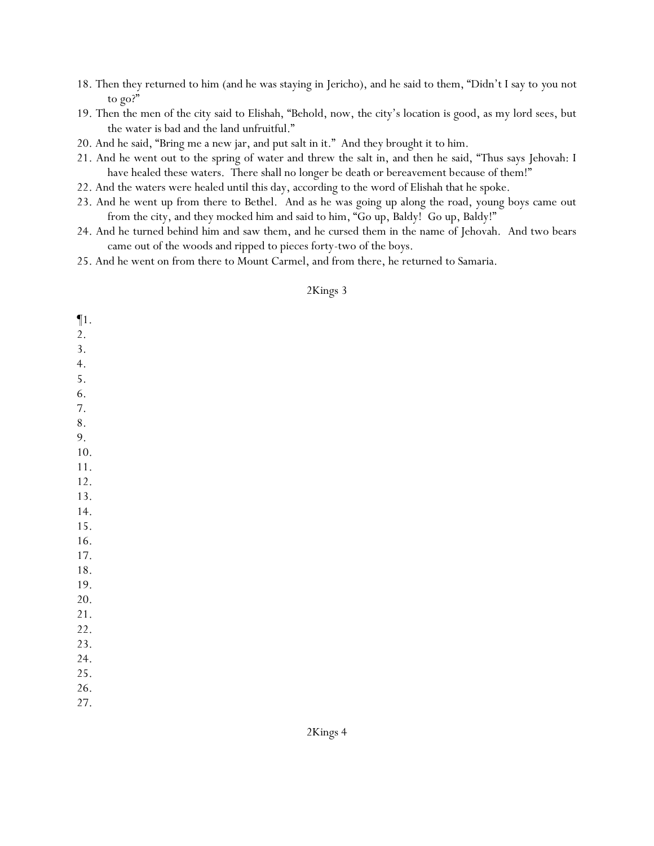- 18. Then they returned to him (and he was staying in Jericho), and he said to them, "Didn't I say to *y*ou not to go?"
- 19. Then the men of the city said to Elishah, "Behold, now, the city's location is good, as my lord sees, but the water is bad and the land unfruitful."
- 20. And he said, "Bring me a new jar, and put salt in it." And they brought it to him.
- 21. And he went out to the spring of water and threw the salt in, and then he said, "Thus says Jehovah: I have healed these waters. There shall no longer be death or bereavement because of them!"
- 22. And the waters were healed until this day, according to the word of Elishah that he spoke.
- 23. And he went up from there to Bethel. And as he was going up along the road, young boys came out from the city, and they mocked him and said to him, "Go up, Baldy! Go up, Baldy!"
- 24. And he turned behind him and saw them, and he cursed them in the name of Jehovah. And two bears came out of the woods and ripped to pieces forty-two of the boys.
- 25. And he went on from there to Mount Carmel, and from there, he returned to Samaria.

| $\P1.$<br>2. |  |
|--------------|--|
| 3.           |  |
|              |  |
| 4.           |  |
| 5.           |  |
| 6.           |  |
| 7.           |  |
| 8.           |  |
| 9.           |  |
| 10.          |  |
| 11.          |  |
| $12.$        |  |
| 13.          |  |
| 14.          |  |
| 15.          |  |
| 16.          |  |
| 17.          |  |
| $18. \,$     |  |
| 19.          |  |
| 20.          |  |
| 21.          |  |
| 22.          |  |
| 23.          |  |
| 24.          |  |
| 25.          |  |
| 26.          |  |
| 27.          |  |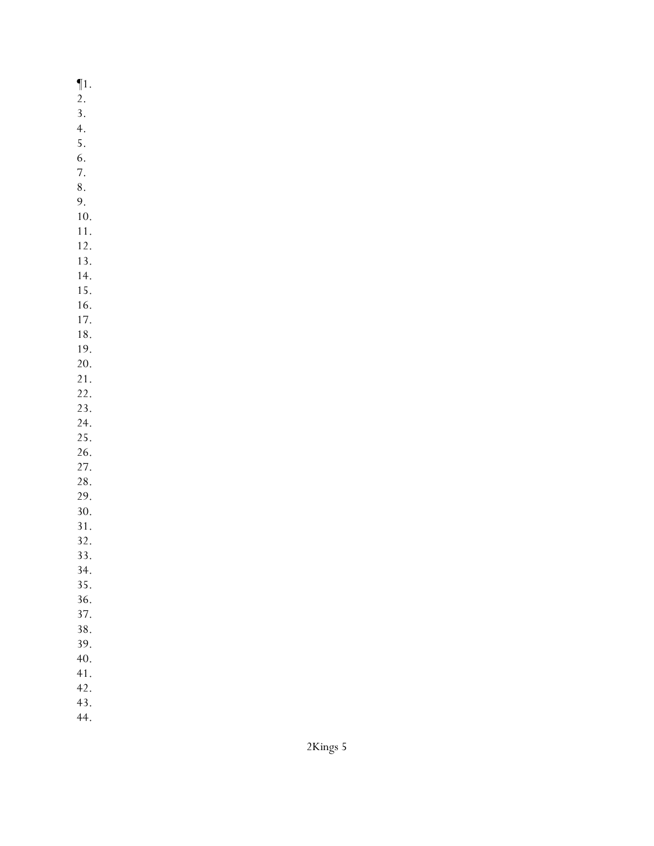¶1. 2. 3. 4. 5. 6. 7. 8. 9. 10. 11. 12. 13. 14. 15. 16. 17. 18. 19. 20. 21. 22. 23. 24. 25. 26. 27. 28. 29. 30. 31. 32. 33. 34. 35. 36. 37. 38. 39. 40. 41. 42. 43.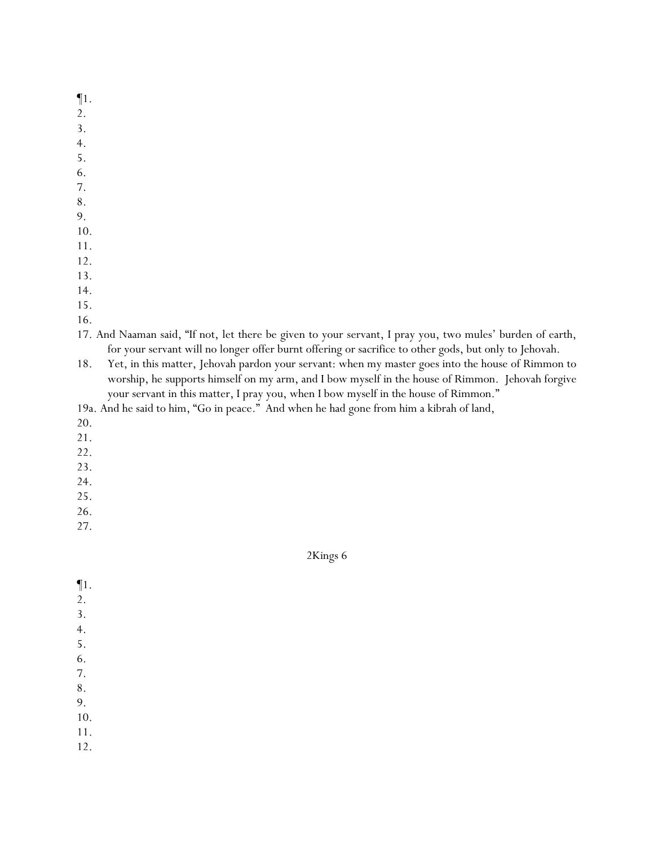¶1.

- 2.
- 3.
- 4.
- 5.
- 6.
- 7.
- 8.
- 9.
- 10.
- 11. 12.
- 13.
- 14.
- 15.
- 16.
- 17. And Naaman said, "If not, let there be given to your servant, I pray you, two mules' burden of earth, for your servant will no longer offer burnt offering or sacrifice to other gods, but only to Jehovah.
- 18. Yet, in this matter, Jehovah pardon your servant: when my master goes into the house of Rimmon to worship, he supports himself on my arm, and I bow myself in the house of Rimmon. Jehovah forgive your servant in this matter, I pray you, when I bow myself in the house of Rimmon."
- 19a. And he said to him, "Go in peace." And when he had gone from him a kibrah of land,
- 20.
- 21.
- 22.
- 23.
- 24.
- 25.
- 26.
- 27.

- ¶1.
- 2.
- 3.
- 4.
- 5.
- 6.
- 7.
- 8.
- 9.
- 10.
- 11.
- 12.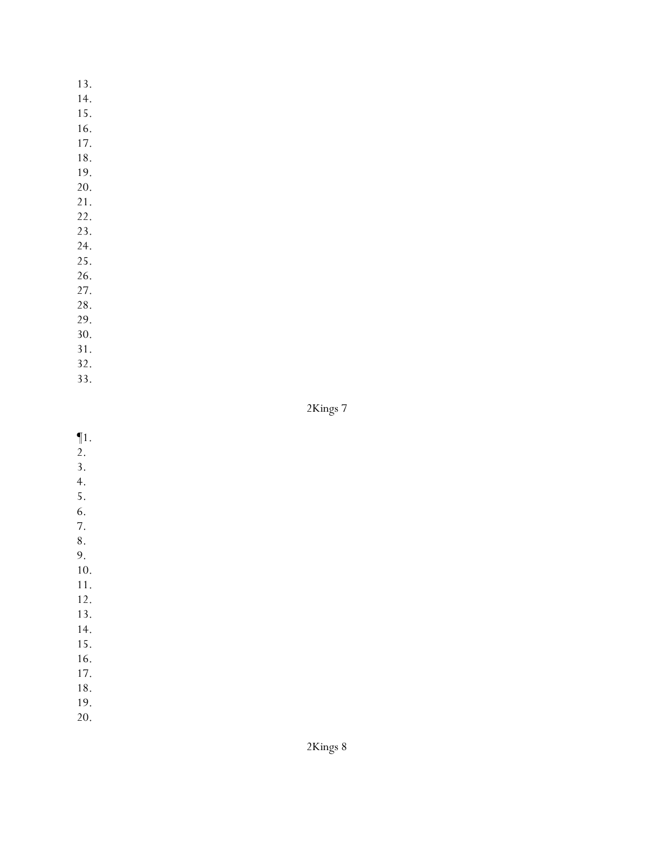- 14.
- 15.
- 16.
- 17.
- 18.
- 19. 20.
- 
- 21. 22.
- 23.
- 24.
- 25.
- 26.
- 27.
- 28.
- 29.
- 30.
- 31.
- 32.
- 33.

2Kings 7

- $\P1$ .
- $\overline{2}$ .
- 3. 4.
- 5.
- 6.
- 7.
- 8.
- 9.
- 10.
- 11. 12.
- 13.
- 14.
- 15.
- 16.
- 17.
- 18.
- 19.
- 20.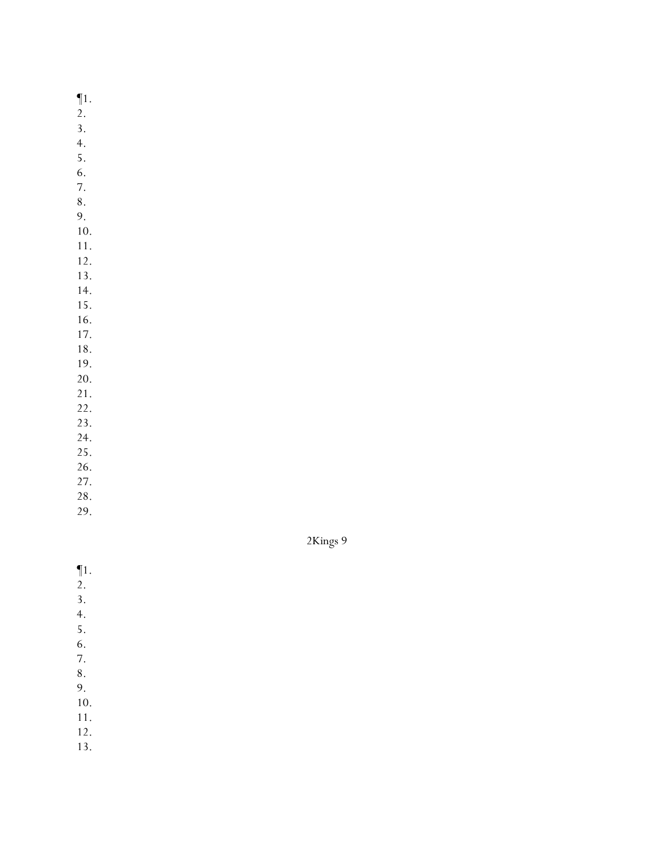¶1.

- 2.
- 3.
- 4.
- 5. 6.
- 7.
- 8.
- 9.
- 10.
- 11.
- 12.
- 13.
- 14. 15.
- 16.
- 17.
- 18.
- 19.
- 20.
- 21.
- 22.
- 23.
- 24. 25.
- 26.
- 27.
- 28.
- 29.

2Kings 9

 $\P1$ .

- $\overline{2}$ .
- 3.
- 4.
- 5.
- 6.
- 7.
- 8.
- 9.
- 10.
- 11.
- 12.
- 13.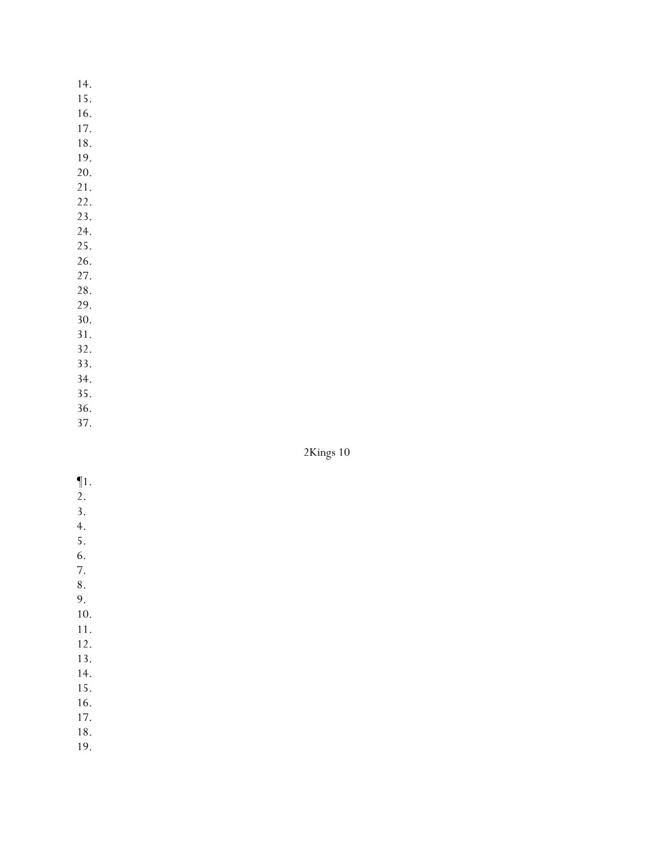15.

- 16.
- 17. 18.
- 19.
- 20.
- 21.
- 22.
- 23.
- 24.
- 25. 26.
- 27.
- 28.
- 29.
- 30.
- 31.
- 32.
- 33. 34.
- 35.
- 36.
- 37.

# 2Kings 10

- $\P1$ .
- $\overline{2}$ .
- 3.
- 4. 5.
- 6.
- 7.

- 9.
- 10.
- 11.
- 12. 13.
- 14.
- 15.
- 16.
- 17.
- 18.
- 19.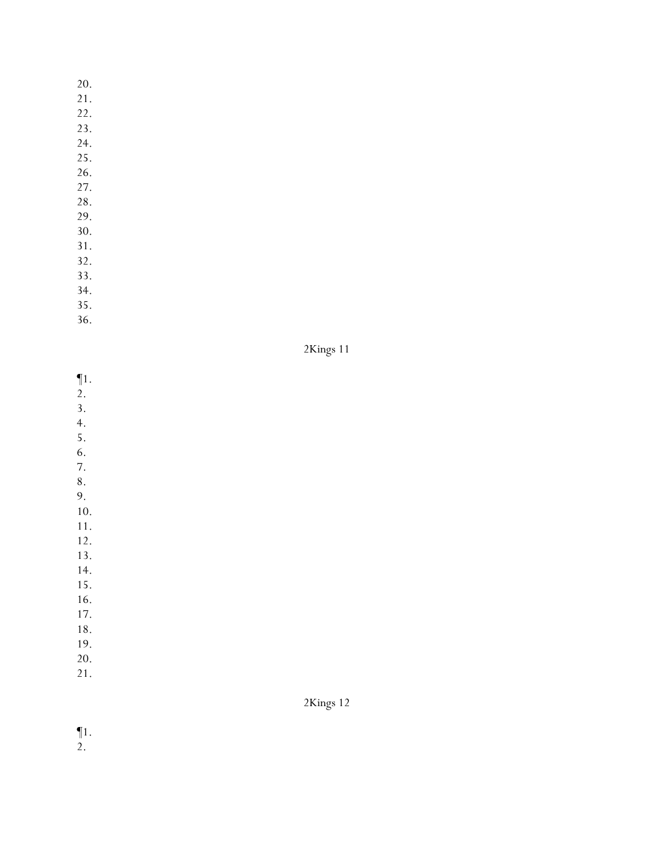- 21.
- 22.
- 23.
- 24.
- 25.
- 26.
- 27.
- 28.
- 29. 30.
- 31.
- 32.
- 33.
- 34.
- 35.
- 36.

| Kings |  |  |
|-------|--|--|
|-------|--|--|

- ¶1.
- 2.
- 3.
- 4. 5.
- 6.
- 7.
- 8.
- 9. 10.
- 11.
- 12.

13.

- 14.
- 15. 16.
- 17.
- 18.
- 19.
- 20. 21.
- 

2Kings 12

¶1.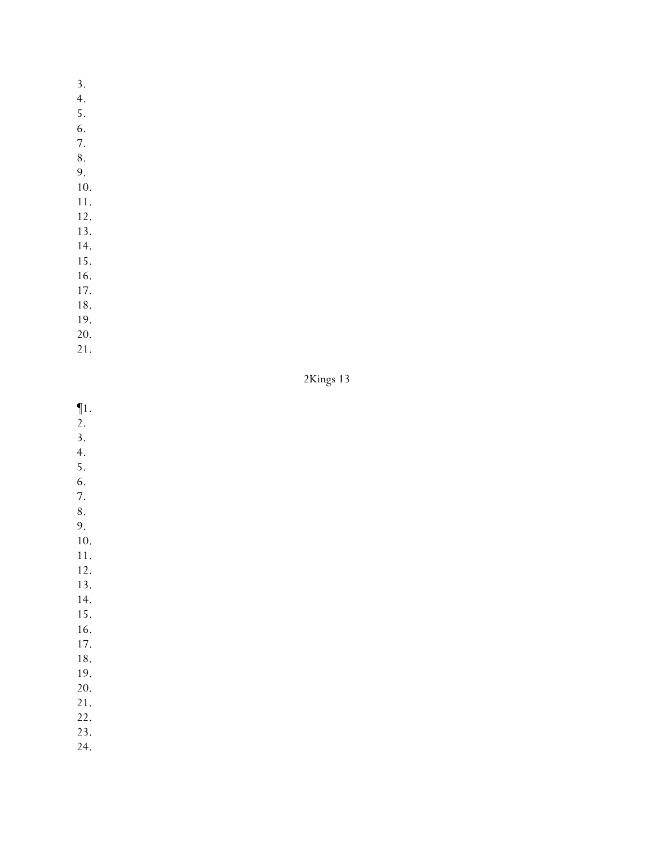- 3.
- 4.
- 5.
- 6. 7.
- 
- 8.
- 9.
- 10. 11.
- 12.
- 13.
- 14.
- 15.
- 16.
- 17.
- 18.
- 19.
- 20.
- 21.

2Kings 13

- ¶1.
- 2.
- 3.
- 4. 5.
- 6.
- 7.
- 8.
- 9.
- 10. 11.
- 12.
- 13.
- 14.
- 15.
- 16.
- 17.
- 18. 19.
- 20.
- 21.
- 22.
- 23.
- 24.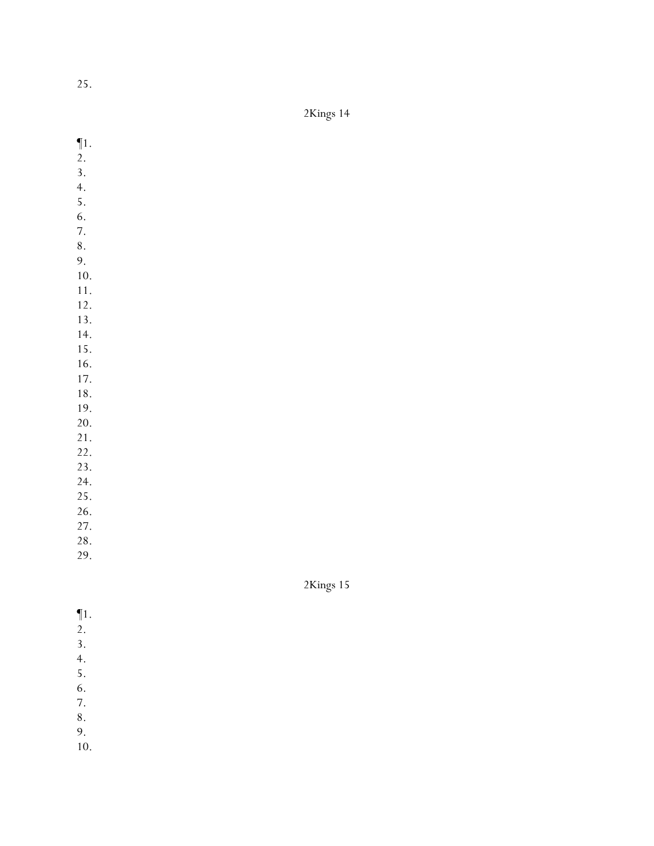| K ings |  |
|--------|--|
|--------|--|

- ¶1.
- $\overline{2}$ .
- 3.
- 4.
- 5.
- 6. 7.
- 8.
- 9.
- 10.
- 11.
- 12. 13.
- 14.
- 15.
- 16.
- 17.
- 18.
- 19.
- 20.
- 21. 22.
- 23.
- 24.
- 25.
- 26.
- 27.
- 28.
- 29.

- $\P1$ .
- $\overline{2}$ .
- 3.
- 4.
- 5. 6.
- 7.
- 8.
- 9.
- 10.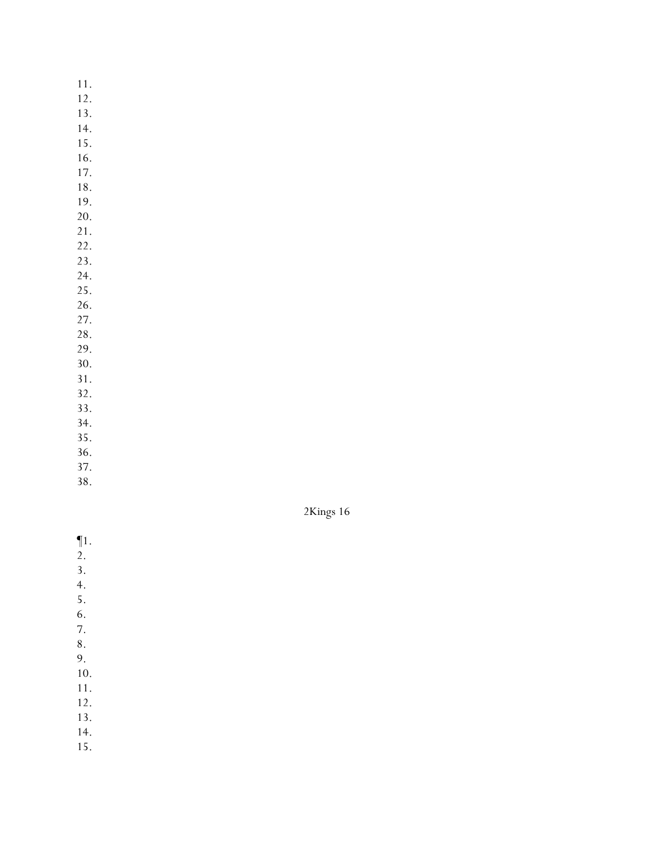- 12.
- 13.
- 14. 15.
- 16.
- 17.
- 18.
- 19.
- 20.
- 21.
- 22. 23.
- 24.
- 25.
- 26.
- 27.
- 28.
- 29. 30.
- 31.
- 32.
- 33.
- 34.
- 35.
- 36.
- 37.
- 38.



- ¶1.
- $\overline{2}$ .
- 3.
- 4.
- 5.
- 6.
- 7.
- 8.
- 9. 10.
- 11.
- 12.
- 13.
- 14.
- 15.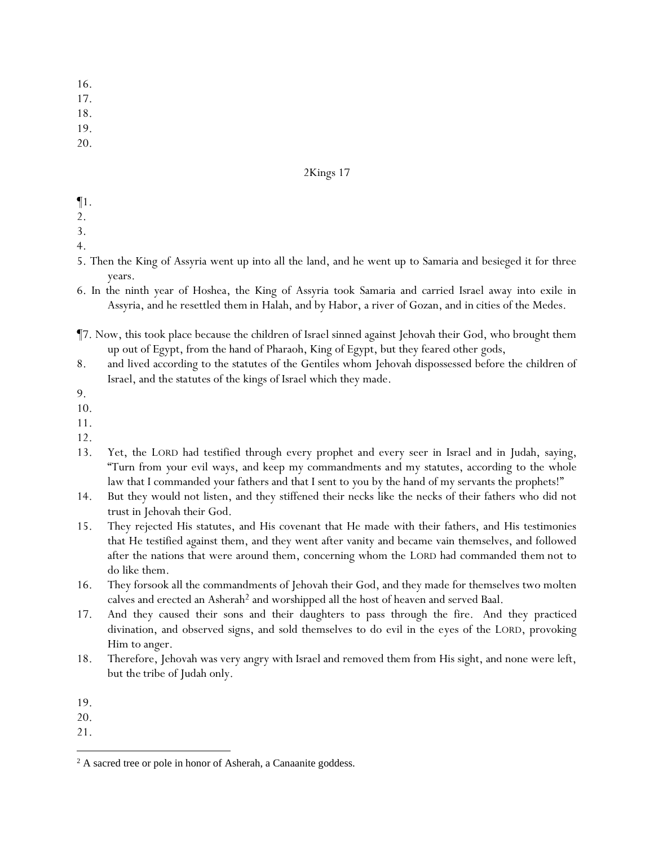- 16.
- 17.

- 19.
- 20.

- ¶1.
- 2.
- 3.
- 4.
- 5. Then the King of Assyria went up into all the land, and he went up to Samaria and besieged it for three years.
- 6. In the ninth year of Hoshea, the King of Assyria took Samaria and carried Israel away into exile in Assyria, and he resettled *them* in Halah, and by Habor, a river of Gozan, and *in* cities of the Medes.
- ¶7. Now, this took place because the children of Israel sinned against Jehovah their God, who brought them up out of Egypt, from the hand of Pharaoh, King of Egypt, but they feared other gods,
- 8. and lived according to the statutes of the Gentiles whom Jehovah dispossessed before the children of Israel, and *the statutes* of the kings of Israel which they made.
- 9.
- 10.
- 11.
- 12.
- 13. Yet, the LORD had testified through every prophet *and* every seer in Israel and in Judah, saying, "Turn from *y*our evil ways, and keep my commandments *and* my statutes, according to the whole law that I commanded *y*our fathers and that I sent to *y*ou by the hand of my servants the prophets!"
- 14. But they would not listen, and they stiffened their necks like the necks of their fathers who did not trust in Jehovah their God.
- 15. They rejected His statutes, and His covenant that He made with their fathers, and His testimonies that He testified against them, and they went after vanity and became vain themselves, and followed after the nations that were around them, concerning whom the LORD had commanded *them* not to do like them.
- 16. They forsook all the commandments of Jehovah their God, and they made for themselves two molten calves and erected an Asherah<sup>2</sup> and worshipped all the host of heaven and served Baal.
- 17. And they caused their sons and their daughters to pass through the fire. And they practiced divination, and observed signs, and sold themselves to do evil in the eyes of the LORD, provoking Him to anger.
- 18. Therefore, Jehovah was very angry with Israel and removed them from His sight, and none were left, but *the* tribe of Judah only.
- 19.
- 20.
- 21.

<sup>&</sup>lt;sup>2</sup> A sacred tree or pole in honor of Asherah, a Canaanite goddess.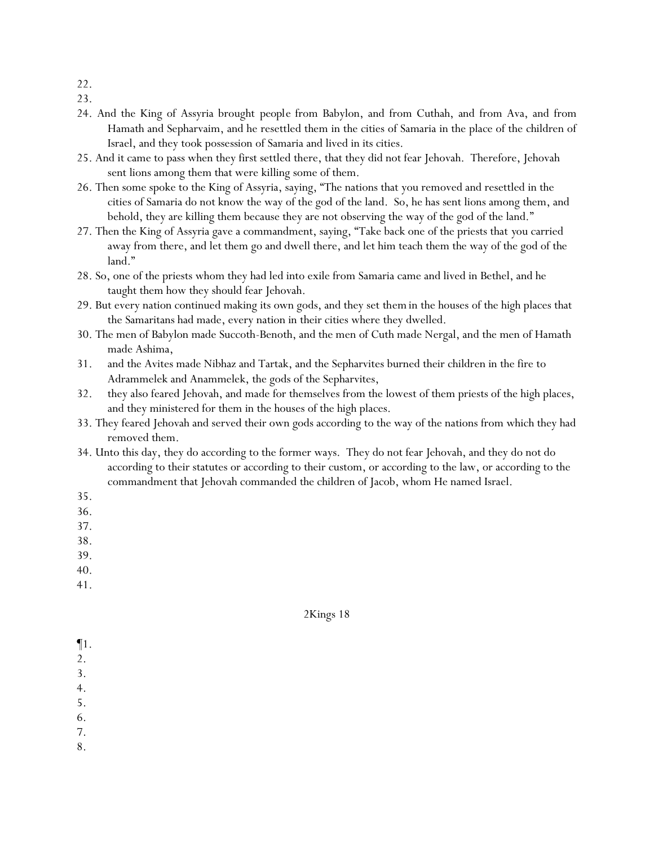- 22.
- 23.
- 24. And the King of Assyria brought *people* from Babylon, and from Cuthah, and from Ava, and from Hamath and Sepharvaim, and he resettled them in the cities of Samaria in the place of the children of Israel, and they took possession of Samaria and lived in its cities.
- 25. And it came to pass when they first settled there, that they did not fear Jehovah. Therefore, Jehovah sent lions among them that were killing some of them.
- 26. Then some spoke to the King of Assyria, saying, "The nations that you removed and resettled in the cities of Samaria do not know the way of the god of the land. So, he has sent lions among them, and behold, they are killing them because they are not observing the way of the god of the land."
- 27. Then the King of Assyria gave a commandment, saying, "Take back one of the priests that *y*ou carried away from there, and let them go and dwell there, and let him teach them the way of the god of the land."
- 28. So, one of the priests whom they had led into exile from Samaria came and lived in Bethel, and he taught them how they should fear Jehovah.
- 29. But every nation continued making its own gods, and they set *them* in the houses of the high places that the Samaritans had made, every nation in their cities where they dwelled.
- 30. The men of Babylon made Succoth-Benoth, and the men of Cuth made Nergal, and the men of Hamath made Ashima,
- 31. and the Avites made Nibhaz and Tartak, and the Sepharvites burned their children in the fire to Adrammelek and Anammelek, the gods of the Sepharvites,
- 32. they also feared Jehovah, and made for themselves from the lowest of them priests of the high places, and they ministered for them in the houses of the high places.
- 33. They feared Jehovah and served their own gods according to the way of the nations from which they had removed them.
- 34. Unto this day, they do according to the former ways. They do not fear Jehovah, and they do not do according to their statutes or according to their custom, or according to the law, or according to the commandment that Jehovah commanded the children of Jacob, whom He named Israel.
- 35.
- 36.
- 37.
- 38.
- 39.
- 40.
- 41.

- ¶1.
- 2.
- 3.
- 4.
- 5. 6.
- 
- 7.
- 8.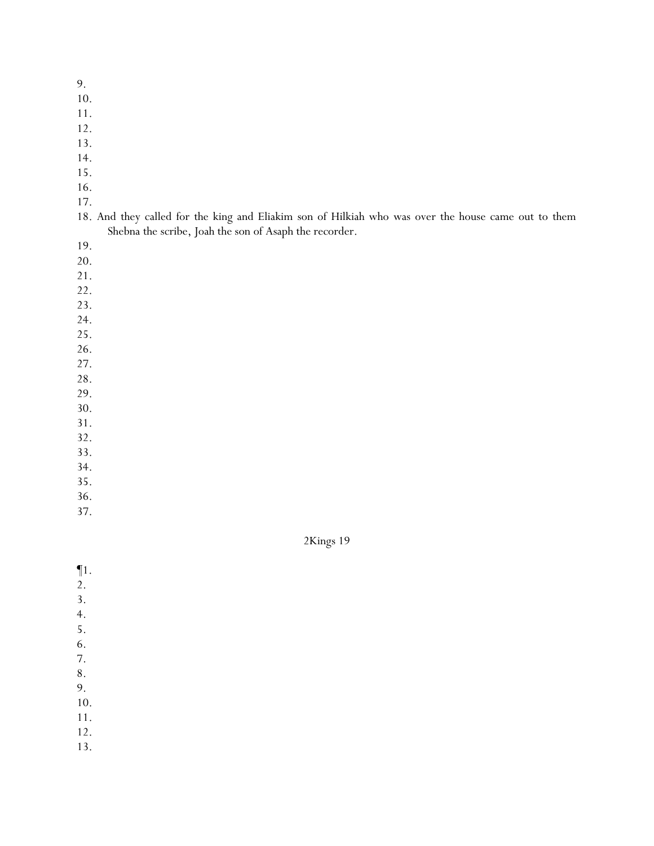- 10.
- 11.
- 12.
- 13.
- 14.
- 15.
- 16.
- 17.

|  |  |  |  | 18. And they called for the king and Eliakim son of Hilkiah who was over the house came out to them |  |  |  |  |  |
|--|--|--|--|-----------------------------------------------------------------------------------------------------|--|--|--|--|--|
|  |  |  |  | Shebna the scribe, Joah the son of Asaph the recorder.                                              |  |  |  |  |  |

- 19.
- 20.
- 21.
- 22.
- 23.
- 24.
- 25.
- 26.
- 27.
- 28. 29.
- 30.
- 31.
- 32.
- 33.
- 34.
- 35.
- 36.
- 37.

- $\P1$ .
- $\overline{2}$ .
- 3.
- 4.
- 5.
- 6.
- 7.
- 8.
- 9.
- 10.
- 11.
- 12.
- 13.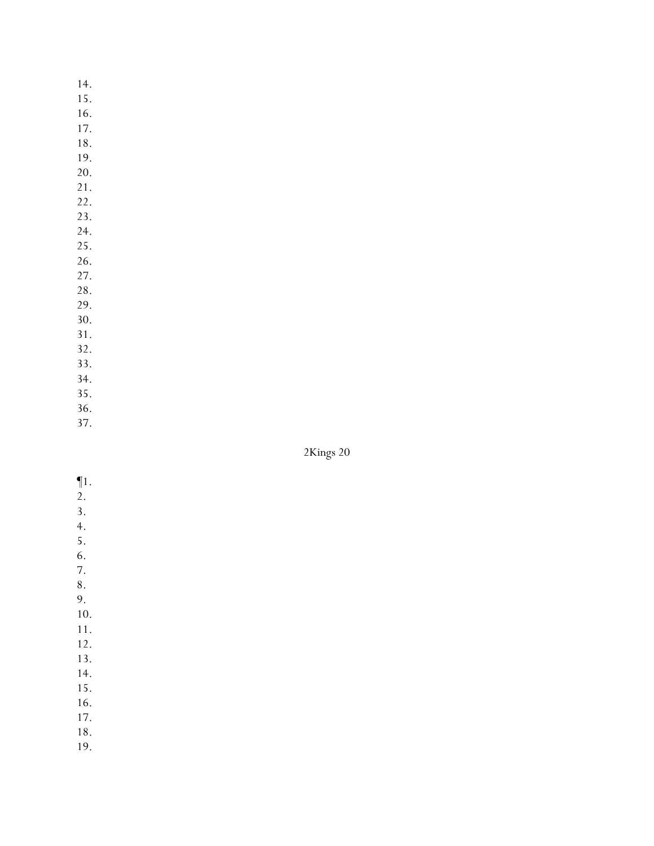- 15.
- 16.
- 17.
- 18.
- 19. 20.
- 21.
- 22.
- 23.
- 24.
- 25.
- 26.
- 27.
- 28. 29.
- 30.
- 31.
- 32.
- 33.
- 34.
- 35.
- 36.
- 37.

- $\P1$ .
- $\overline{2}$ . 3.
- 4.
- 5.
- 6.
- 7.
- 8.
- 9.
- 10.
- 11. 12.
- 13.
- 14.
- 15.
- 16.
- 17.
- 18.
- 19.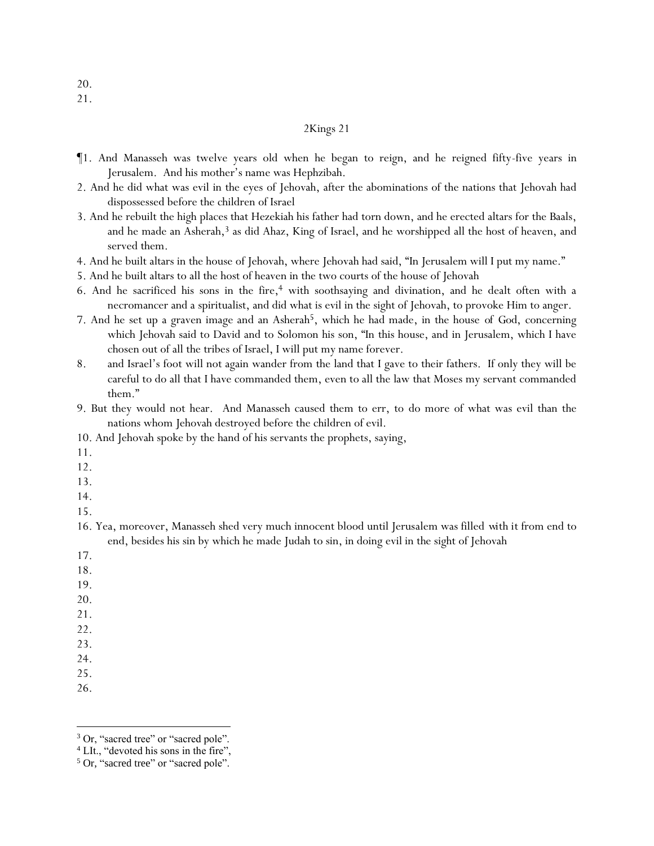- ¶1. And Manasseh was twelve years old when he began to reign, and he reigned fifty-five years in Jerusalem. And his mother's name was Hephzibah.
- 2. And he did what was evil in the eyes of Jehovah, after the abominations of the nations that Jehovah had dispossessed before the children of Israel
- 3. And he rebuilt the high places that Hezekiah his father had torn down, and he erected altars for the Baals, and he made an Asherah,<sup>3</sup> as did Ahaz, King of Israel, and he worshipped all the host of heaven, and served them.
- 4. And he built altars in the house of Jehovah, where Jehovah had said, "In Jerusalem will I put my name."
- 5. And he built altars to all the host of heaven in the two courts of the house of Jehovah
- 6. And he sacrificed his sons in the fire,<sup>4</sup> with soothsaying and divination, and he dealt often with a necromancer and a spiritualist, and did what is evil in the sight of Jehovah, to provoke Him to anger.
- 7. And he set up a graven image and an Asherah5, which he had made, in the house *of God*, concerning which Jehovah said to David and to Solomon his son, "In this house, and in Jerusalem, which I have chosen out of all the tribes of Israel, I will put my name forever.
- 8. and Israel's foot will not again wander from the land that I gave to their fathers. If only they will be careful to do all that I have commanded them, even to all the law that Moses my servant commanded them."
- 9. But they would not hear. And Manasseh caused them to err, to do more of what was evil than the nations whom Jehovah destroyed before the children of evil.
- 10. And Jehovah spoke by the hand of his servants the prophets, saying,
- 11.
- 12.
- 13.
- 14.
- 15.
- 16. Yea, moreover, Manasseh shed very much innocent blood until Jerusalem was filled *with it* from end to end, besides his sin by which he made Judah to sin, in doing evil in the sight of Jehovah
- 17.
- 18.
- 19.
- 20.
- 21.
- 22. 23.
- 24.
- 25.
- 26.

20. 21.

<sup>&</sup>lt;sup>3</sup> Or, "sacred tree" or "sacred pole".

<sup>&</sup>lt;sup>4</sup> LIt., "devoted his sons in the fire",

<sup>&</sup>lt;sup>5</sup> Or, "sacred tree" or "sacred pole".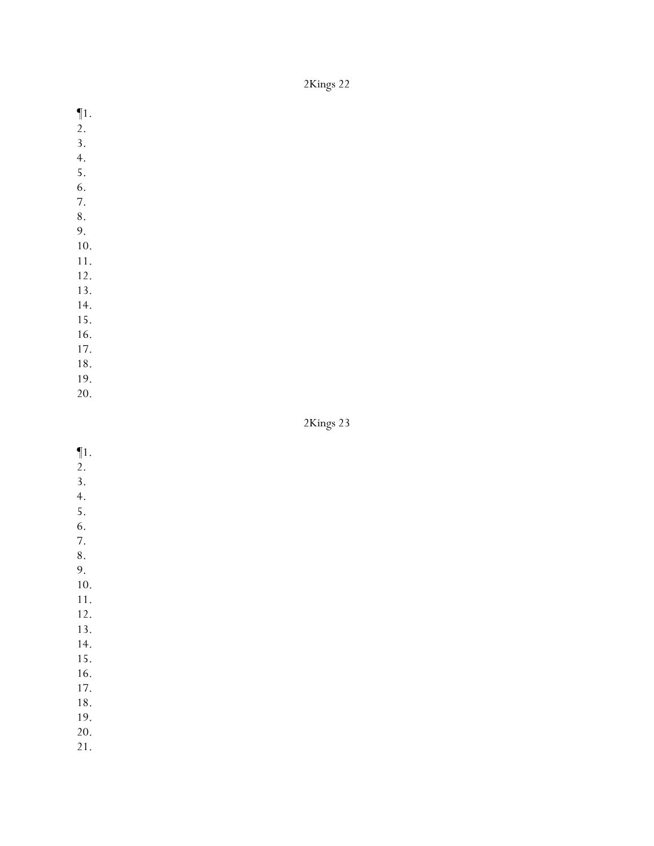- ¶1.
- 2.
- 3. 4.
- 5.
- 6.
- 7.
- 8.
- 9.
- 10.
- 11.
- 12.
- 13. 14.
- 15.
- 16.
- 17.
- 18.
- 19.
- 20.

2Kings 23

- ¶1. 2.
- 3.
- 4.
- 5.
- 6.
- 7.
- 8. 9.
- 10.
- 11.
- 12.
- 13.
- 14.
- 15. 16.
- 17.
- 18.
- 19.
- 20.
- 21.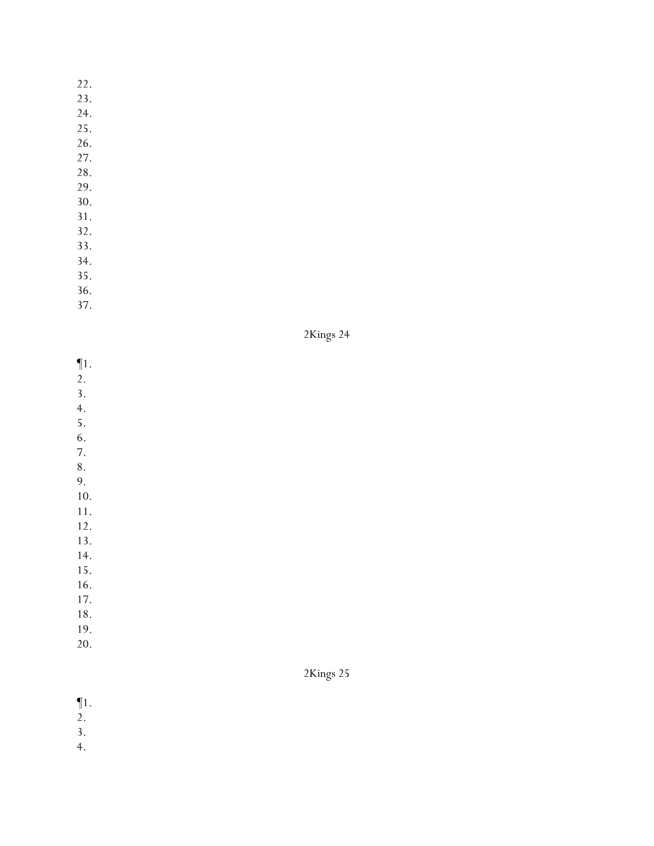- 23.
- 24.
- 25.
- 26.
- 27.
- 28.
- 29.
- 30. 31.
- 32.
- 33.
- 34.
- 35.
- 36.
- 37.



- ¶1.
- $\overline{2}$ .
- 3. 4.
- 5.
- 6.
- 7.
- 8. 9.
- 10.
- 11.
- 12.
- 13.
- 14.
- 15.
- 16. 17.
- 18.
- 19.
- 20.

## 2Kings 25

¶1. 2.

- 3.
- 4.